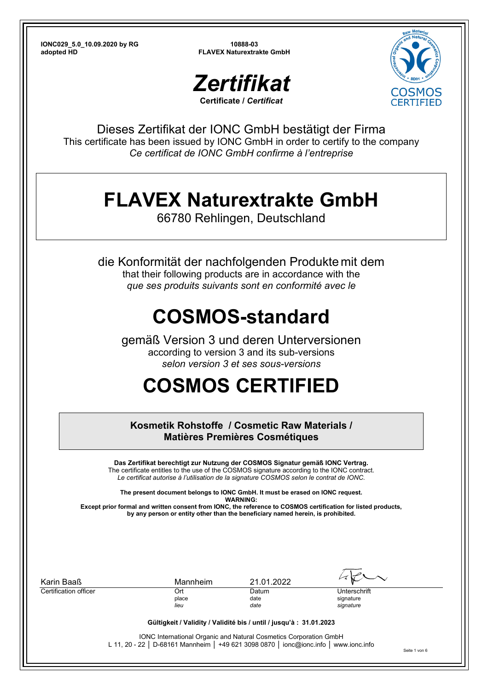



Dieses Zertifikat der IONC GmbH bestätigt der Firma This certificate has been issued by IONC GmbH in order to certify to the company *Ce certificat de IONC GmbH confirme à l'entreprise*

## **FLAVEX Naturextrakte GmbH**

66780 Rehlingen, Deutschland

die Konformität der nachfolgenden Produkte mit dem that their following products are in accordance with the *que ses produits suivants sont en conformité avec le*

## **COSMOS-standard**

gemäß Version 3 und deren Unterversionen according to version 3 and its sub-versions *selon version 3 et ses sous-versions* 

# **COSMOS CERTIFIED**

**Kosmetik Rohstoffe / Cosmetic Raw Materials / Matières Premières Cosmétiques** 

**Das Zertifikat berechtigt zur Nutzung der COSMOS Signatur gemäß IONC Vertrag.**  The certificate entitles to the use of the COSMOS signature according to the IONC contract. *Le certificat autorise à l'utilisation de la signature COSMOS selon le contrat de IONC.* 

**The present document belongs to IONC GmbH. It must be erased on IONC request. WARNING: Except prior formal and written consent from IONC, the reference to COSMOS certification for listed products,** 

**by any person or entity other than the beneficiary named herein, is prohibited.** 

| Karin Baaß            | Mannheim                                                                              | 21.01.2022    |                           |
|-----------------------|---------------------------------------------------------------------------------------|---------------|---------------------------|
| Certification officer | Ort<br>place                                                                          | Datum<br>date | Unterschrift<br>signature |
|                       | lieu                                                                                  | date          | signature                 |
|                       | Gültigkeit / Validity / Validité bis / until / jusqu'à : 31.01.2023                   |               |                           |
|                       | <b>IONC International Organic and Natural Cosmetics Corporation GmbH</b>              |               |                           |
|                       | L 11, 20 - 22   D-68161 Mannheim   +49 621 3098 0870   ionc@ionc.info   www.ionc.info |               |                           |

Seite 1 von 6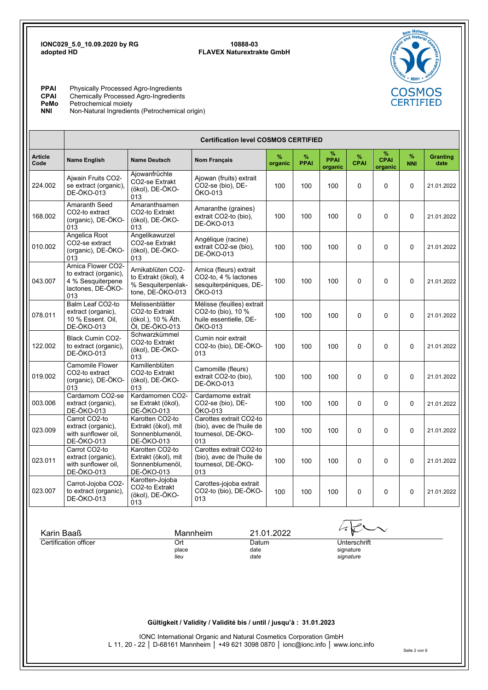

**PPAI** Physically Processed Agro-Ingredients **CPAI** Chemically Processed Agro-Ingredients **PeMo** Petrochemical moiety **NNI** Non-Natural Ingredients (Petrochemical origin)

|                        | <b>Certification level COSMOS CERTIFIED</b>                                                                                                                                 |                                                                                     |                                                                                       |                 |                                        |                             |                  |                             |                 |                         |
|------------------------|-----------------------------------------------------------------------------------------------------------------------------------------------------------------------------|-------------------------------------------------------------------------------------|---------------------------------------------------------------------------------------|-----------------|----------------------------------------|-----------------------------|------------------|-----------------------------|-----------------|-------------------------|
| <b>Article</b><br>Code | <b>Name English</b>                                                                                                                                                         | <b>Name Deutsch</b>                                                                 | <b>Nom Français</b>                                                                   | $\%$<br>organic | %<br><b>PPAI</b>                       | %<br><b>PPAI</b><br>organic | %<br><b>CPAI</b> | %<br><b>CPAI</b><br>organic | %<br><b>NNI</b> | <b>Granting</b><br>date |
| 224.002                | Ajwain Fruits CO2-<br>se extract (organic),<br><b>DE-ÖKO-013</b>                                                                                                            | Ajowanfrüchte<br>CO2-se Extrakt<br>(ökol), DE-ÖKO-<br>013                           | Ajowan (fruits) extrait<br>CO2-se (bio), DE-<br>ÖKO-013                               | 100             | 100                                    | 100                         | 0                | 0                           | 0               | 21.01.2022              |
| 168.002                | Amaranth Seed<br>CO2-to extract<br>(organic), DE-ÖKO-<br>013                                                                                                                | Amaranthsamen<br>CO2-to Extrakt<br>(ökol), DE-ÖKO-<br>013                           | Amaranthe (graines)<br>extrait CO2-to (bio),<br><b>DE-ÖKO-013</b>                     | 100             | 100                                    | 100                         | 0                | 0                           | 0               | 21.01.2022              |
| 010.002                | Angelica Root<br>CO2-se extract<br>(organic), DE-ÖKO-<br>013                                                                                                                | Angelikawurzel<br>CO2-se Extrakt<br>(ökol), DE-ÖKO-<br>013                          | Angélique (racine)<br>extrait CO2-se (bio),<br>DE-ÖKO-013                             | 100             | 100                                    | 100                         | $\Omega$         | 0                           | 0               | 21.01.2022              |
| 043.007                | Arnica Flower CO2-<br>to extract (organic),<br>4 % Sesquiterpene<br>lactones, DE-ÖKO-<br>013                                                                                | Arnikablüten CO2-<br>to Extrakt (ökol), 4<br>% Sesquiterpenlak-<br>tone, DE-ÖKO-013 | Arnica (fleurs) extrait<br>CO2-to, 4 % lactones<br>sesquiterpéniques, DE-<br>ÖKO-013  | 100             | 100                                    | 100                         | $\Omega$         | 0                           | 0               | 21.01.2022              |
| 078.011                | Balm Leaf CO2-to<br>extract (organic),<br>10 % Essent. Oil,<br><b>DE-ÖKO-013</b>                                                                                            | Melissenblätter<br>CO2-to Extrakt<br>(ökol.), 10 % Äth.<br>ÖI, DE-ÖKO-013           | Mélisse (feuilles) extrait<br>CO2-to (bio), 10 %<br>huile essentielle, DE-<br>ÖKO-013 | 100             | 100                                    | 100                         | $\Omega$         | 0                           | 0               | 21.01.2022              |
| 122.002                | <b>Black Cumin CO2-</b><br>to extract (organic),<br><b>DE-ÖKO-013</b>                                                                                                       | Schwarzkümmel<br>CO2-to Extrakt<br>(ökol), DE-ÖKO-<br>013                           | Cumin noir extrait<br>CO2-to (bio), DE-ÖKO-<br>013                                    | 100             | 100                                    | 100                         | $\Omega$         | 0                           | 0               | 21.01.2022              |
| 019.002                | Camomile Flower<br>CO2-to extract<br>(organic), DE-ÖKO-<br>013                                                                                                              | Kamillenblüten<br>CO2-to Extrakt<br>(ökol), DE-ÖKO-<br>013                          | Camomille (fleurs)<br>extrait CO2-to (bio),<br>DE-ÖKO-013                             | 100             | 100                                    | 100                         | 0                | 0                           | 0               | 21.01.2022              |
| 003.006                | Cardamom CO2-se<br>extract (organic),<br>DE-ÖKO-013                                                                                                                         | Kardamomen CO2-<br>se Extrakt (ökol),<br><b>DE-ÖKO-013</b>                          | Cardamome extrait<br>CO2-se (bio), DE-<br>ÖKO-013                                     | 100             | 100                                    | 100                         | 0                | 0                           | 0               | 21.01.2022              |
| 023.009                | Carrot CO2-to<br>extract (organic),<br>with sunflower oil,<br><b>DE-ÖKO-013</b>                                                                                             | Karotten CO2-to<br>Extrakt (ökol), mit<br>Sonnenblumenöl,<br><b>DE-ÖKO-013</b>      | Carottes extrait CO2-to<br>(bio), avec de l'huile de<br>tournesol, DE-ÖKO-<br>013     | 100             | 100                                    | 100                         | 0                | 0                           | 0               | 21.01.2022              |
| 023.011                | Carrot CO2-to<br>extract (organic),<br>with sunflower oil,<br><b>DE-ÖKO-013</b>                                                                                             | Karotten CO2-to<br>Extrakt (ökol), mit<br>Sonnenblumenöl,<br><b>DE-ÖKO-013</b>      | Carottes extrait CO2-to<br>(bio), avec de l'huile de<br>tournesol, DE-ÖKO-<br>013     | 100             | 100                                    | 100                         | $\Omega$         | 0                           | 0               | 21.01.2022              |
| 023.007                | Carrot-Jojoba CO2-<br>to extract (organic),<br><b>DE-ÖKO-013</b>                                                                                                            | Karotten-Jojoba<br>CO2-to Extrakt<br>(ökol), DE-ÖKO-<br>013                         | Carottes-jojoba extrait<br>CO2-to (bio), DE-ÖKO-<br>013                               | 100             | 100                                    | 100                         | $\Omega$         | 0                           | 0               | 21.01.2022              |
| Karin Baaß             |                                                                                                                                                                             |                                                                                     | Mannheim                                                                              | 21.01.2022      |                                        |                             |                  |                             |                 |                         |
| Certification officer  |                                                                                                                                                                             | Ort<br>Datum<br>place<br>date<br>lieu<br>date                                       |                                                                                       |                 | Unterschrift<br>signature<br>signature |                             |                  |                             |                 |                         |
|                        |                                                                                                                                                                             |                                                                                     |                                                                                       |                 |                                        |                             |                  |                             |                 |                         |
|                        |                                                                                                                                                                             |                                                                                     | Gültigkeit / Validity / Validité bis / until / jusqu'à : 31.01.2023                   |                 |                                        |                             |                  |                             |                 |                         |
|                        | IONC International Organic and Natural Cosmetics Corporation GmbH<br>L 11, 20 - 22   D-68161 Mannheim   +49 621 3098 0870   ionc@ionc.info   www.ionc.info<br>Seite 2 von 6 |                                                                                     |                                                                                       |                 |                                        |                             |                  |                             |                 |                         |
|                        |                                                                                                                                                                             |                                                                                     |                                                                                       |                 |                                        |                             |                  |                             |                 |                         |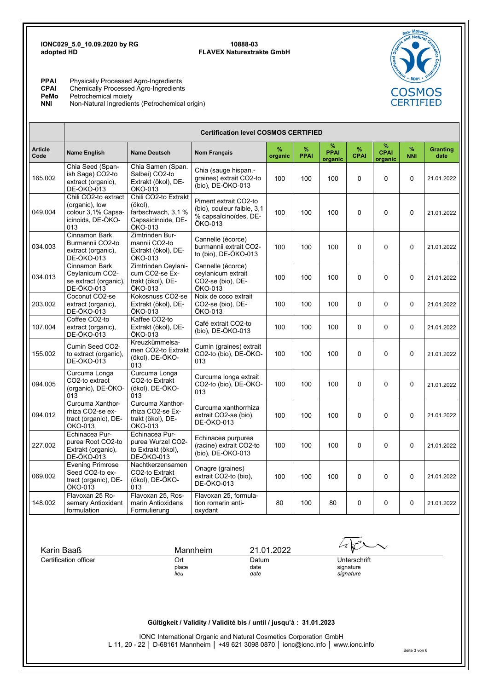**PPAI** Physically Processed Agro-Ingredients<br>CPAI Chemically Processed Agro-Ingredients **CPAI** Chemically Processed Agro-Ingredients

**PeMo** Petrochemical moiety<br> **NNI** Non-Natural Ingredier

Non-Natural Ingredients (Petrochemical origin)



ERTIFIED

Seite 3 von 6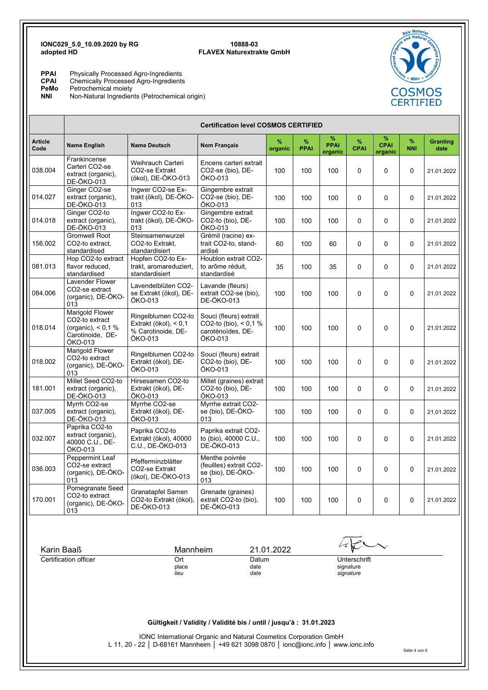**PPAI** Physically Processed Agro-Ingredients **CPAI** Chemically Processed Agro-Ingredients

**PeMo** Petrochemical moiety

**NNI** Non-Natural Ingredients (Petrochemical origin)

|                                     | <b>Certification level COSMOS CERTIFIED</b>                                               |                                                                                 |                                                                                   |                           |                  |                             |                     |                             |                    |                         |
|-------------------------------------|-------------------------------------------------------------------------------------------|---------------------------------------------------------------------------------|-----------------------------------------------------------------------------------|---------------------------|------------------|-----------------------------|---------------------|-----------------------------|--------------------|-------------------------|
| <b>Article</b><br>Code              | Name English                                                                              | <b>Name Deutsch</b>                                                             | <b>Nom Français</b>                                                               | %<br>organic              | %<br><b>PPAI</b> | %<br><b>PPAI</b><br>organic | $\%$<br><b>CPAI</b> | %<br><b>CPAI</b><br>organic | $\%$<br><b>NNI</b> | <b>Granting</b><br>date |
| 038.004                             | Frankincense<br>Carteri CO2-se<br>extract (organic),<br><b>DE-ÖKO-013</b>                 | Weihrauch Carteri<br>CO2-se Extrakt<br>(ökol), DE-ÖKO-013                       | Encens carteri extrait<br>CO2-se (bio), DE-<br>ÖKO-013                            | 100                       | 100              | 100                         | 0                   | 0                           | 0                  | 21.01.2022              |
| 014.027                             | Ginger CO2-se<br>extract (organic),<br>DE-ÖKO-013                                         | Ingwer CO2-se Ex-<br>trakt (ökol), DE-ÖKO-<br>013                               | Gingembre extrait<br>CO2-se (bio), DE-<br>ÖKO-013                                 | 100                       | 100              | 100                         | 0                   | 0                           | 0                  | 21.01.2022              |
| 014.018                             | Ginger CO2-to<br>extract (organic),<br>DE-ÖKO-013                                         | Ingwer CO2-to Ex-<br>trakt (ökol), DE-ÖKO-<br>013                               | Gingembre extrait<br>CO2-to (bio), DE-<br>ÖKO-013                                 | 100                       | 100              | 100                         | $\Omega$            | 0                           | 0                  | 21.01.2022              |
| 156.002                             | <b>Gromwell Root</b><br>CO2-to extract,<br>standardised                                   | Steinsamenwurzel<br>CO2-to Extrakt,<br>standardisiert                           | Grémil (racine) ex-<br>trait CO2-to, stand-<br>ardisé                             | 60                        | 100              | 60                          | $\mathbf 0$         | 0                           | 0                  | 21.01.2022              |
| 081.013                             | Hop CO2-to extract<br>flavor reduced,<br>standardised                                     | Hopfen CO2-to Ex-<br>trakt, aromareduziert,<br>standardisiert                   | Houblon extrait CO2-<br>to arôme réduit,<br>standardisé                           | 35                        | 100              | 35                          | 0                   | 0                           | 0                  | 21.01.2022              |
| 084.006                             | <b>Lavender Flower</b><br>CO2-se extract<br>(organic), DE-ÖKO-<br>013                     | Lavendelblüten CO2-<br>se Extrakt (ökol), DE-<br>ÖKO-013                        | Lavande (fleurs)<br>extrait CO2-se (bio),<br>DE-ÖKO-013                           | 100                       | 100              | 100                         | $\Omega$            | 0                           | 0                  | 21.01.2022              |
| 018.014                             | Marigold Flower<br>CO2-to extract<br>(organic), $< 0.1 \%$<br>Carotinoide, DE-<br>ÖKO-013 | Ringelblumen CO2-to<br>Extrakt (ökol), $< 0.1$<br>% Carotinoide, DE-<br>ÖKO-013 | Souci (fleurs) extrait<br>CO2-to (bio), $< 0.1$ %<br>caroténoïdes, DE-<br>ÖKO-013 | 100                       | 100              | 100                         | $\Omega$            | 0                           | 0                  | 21.01.2022              |
| 018.002                             | <b>Marigold Flower</b><br>CO2-to extract<br>(organic), DE-ÖKO-<br>013                     | Ringelblumen CO2-to<br>Extrakt (ökol), DE-<br>ÖKO-013                           | Souci (fleurs) extrait<br>CO2-to (bio), DE-<br>ÖKO-013                            | 100                       | 100              | 100                         | $\Omega$            | 0                           | 0                  | 21.01.2022              |
| 181.001                             | Millet Seed CO2-to<br>extract (organic),<br>DE-ÖKO-013                                    | Hirsesamen CO2-to<br>Extrakt (ökol), DE-<br>ÖKO-013                             | Millet (graines) extrait<br>CO2-to (bio), DE-<br>ÖKO-013                          | 100                       | 100              | 100                         | $\mathbf 0$         | 0                           | 0                  | 21.01.2022              |
| 037.005                             | Myrrh CO2-se<br>extract (organic),<br>DE-ÖKO-013                                          | Myrrhe CO2-se<br>Extrakt (ökol), DE-<br>ÖKO-013                                 | Myrrhe extrait CO2-<br>se (bio), DE-ÖKO-<br>013                                   | 100                       | 100              | 100                         | 0                   | 0                           | 0                  | 21.01.2022              |
| 032.007                             | Paprika CO2-to<br>extract (organic),<br>40000 C.U., DE-<br>ÖKO-013                        | Paprika CO2-to<br>Extrakt (ökol), 40000<br>C.U., DE-ÖKO-013                     | Paprika extrait CO2-<br>to (bio), 40000 C.U.,<br><b>DE-ÖKO-013</b>                | 100                       | 100              | 100                         | 0                   | 0                           | 0                  | 21.01.2022              |
| 036.003                             | Peppermint Leaf<br>CO2-se extract<br>(organic), DE-ÖKO-<br>013                            | Pfefferminzblätter<br>CO2-se Extrakt<br>(ökol), DE-ÖKO-013                      | Menthe poivrée<br>(feuilles) extrait CO2-<br>se (bio), DE-ÖKO-<br>013             | 100                       | 100              | 100                         | 0                   | 0                           | 0                  | 21.01.2022              |
| 170.001                             | Pomegranate Seed<br>CO2-to extract<br>(organic), DE-ÖKO-<br>013                           | Granatapfel Samen<br>CO2-to Extrakt (ökol),<br><b>DE-ÖKO-013</b>                | Grenade (graines)<br>extrait CO2-to (bio),<br><b>DE-ÖKO-013</b>                   | 100                       | 100              | 100                         | $\mathbf 0$         | 0                           | 0                  | 21.01.2022              |
|                                     |                                                                                           |                                                                                 |                                                                                   |                           |                  |                             |                     |                             |                    |                         |
|                                     |                                                                                           | Mannheim                                                                        |                                                                                   | 21.01.2022                |                  |                             |                     |                             |                    |                         |
| Karin Baaß<br>Certification officer |                                                                                           | Ort<br>place                                                                    | Datum<br>date                                                                     | Unterschrift<br>signature |                  |                             |                     |                             |                    |                         |
|                                     |                                                                                           | lieu                                                                            | date                                                                              |                           |                  |                             | signature           |                             |                    |                         |
|                                     |                                                                                           |                                                                                 |                                                                                   |                           |                  |                             |                     |                             |                    |                         |
|                                     |                                                                                           |                                                                                 |                                                                                   |                           |                  |                             |                     |                             |                    |                         |
|                                     |                                                                                           |                                                                                 | Gültigkeit / Validity / Validité bis / until / jusqu'à : 31.01.2023               |                           |                  |                             |                     |                             |                    |                         |

IONC International Organic and Natural Cosmetics Corporation GmbH L 11, 20 - 22 │ D-68161 Mannheim │ +49 621 3098 0870 │ ionc@ionc.info │ www.ionc.info Seite 4 von 6

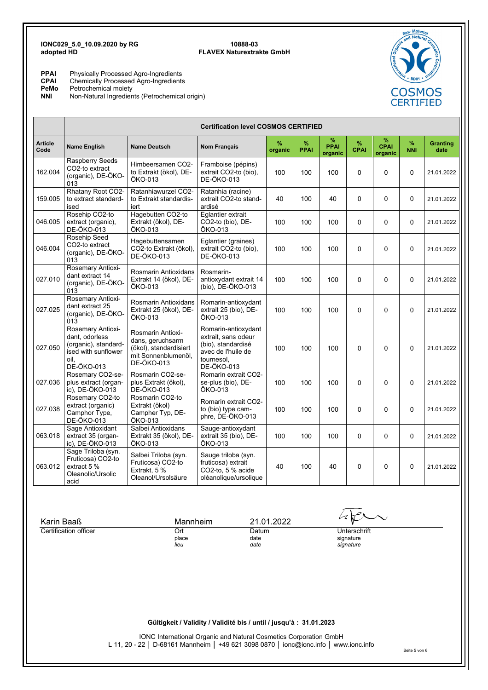**PPAI** Physically Processed Agro-Ingredients

**CPAI** Chemically Processed Agro-Ingredients

**PeMo** Petrochemical moiety

**PeMo** Petrochemical moiety<br>**NNI** Non-Natural Ingredients (Petrochemical origin)

|                        | <b>Certification level COSMOS CERTIFIED</b>                                                                     |                                                                                                             |                                                                                                                    |              |                  |                             |                  |                             |                 |                         |
|------------------------|-----------------------------------------------------------------------------------------------------------------|-------------------------------------------------------------------------------------------------------------|--------------------------------------------------------------------------------------------------------------------|--------------|------------------|-----------------------------|------------------|-----------------------------|-----------------|-------------------------|
| <b>Article</b><br>Code | Name English                                                                                                    | <b>Name Deutsch</b>                                                                                         | <b>Nom Français</b>                                                                                                | %<br>organic | %<br><b>PPAI</b> | %<br><b>PPAI</b><br>organic | %<br><b>CPAI</b> | %<br><b>CPAI</b><br>organic | %<br><b>NNI</b> | <b>Granting</b><br>date |
| 162.004                | Raspberry Seeds<br>CO2-to extract<br>(organic), DE-ÖKO-<br>013                                                  | Himbeersamen CO2-<br>to Extrakt (ökol), DE-<br>ÖKO-013                                                      | Framboise (pépins)<br>extrait CO2-to (bio),<br><b>DE-ÖKO-013</b>                                                   | 100          | 100              | 100                         | 0                | $\Omega$                    | $\Omega$        | 21.01.2022              |
| 159.005                | Rhatany Root CO2-<br>to extract standard-<br>ised                                                               | Ratanhiawurzel CO2-<br>to Extrakt standardis-<br>iert                                                       | Ratanhia (racine)<br>extrait CO2-to stand-<br>ardisé                                                               | 40           | 100              | 40                          | 0                | $\Omega$                    | $\Omega$        | 21.01.2022              |
| 046.005                | Rosehip CO2-to<br>extract (organic),<br><b>DE-ÖKO-013</b>                                                       | Hagebutten CO2-to<br>Extrakt (ökol), DE-<br>ÖKO-013                                                         | Eglantier extrait<br>CO2-to (bio), DE-<br>ÖKO-013                                                                  | 100          | 100              | 100                         | $\Omega$         | $\Omega$                    | $\Omega$        | 21.01.2022              |
| 046.004                | Rosehip Seed<br>CO2-to extract<br>(organic), DE-ÖKO-<br>013                                                     | Hagebuttensamen<br>CO2-to Extrakt (ökol),<br><b>DE-ÖKO-013</b>                                              | Eglantier (graines)<br>extrait CO2-to (bio),<br><b>DE-ÖKO-013</b>                                                  | 100          | 100              | 100                         | 0                | $\Omega$                    | $\Omega$        | 21.01.2022              |
| 027.010                | Rosemary Antioxi-<br>dant extract 14<br>(organic), DE-ÖKO-<br>013                                               | Rosmarin Antioxidans<br>Extrakt 14 (ökol), DE-<br>ÖKO-013                                                   | Rosmarin-<br>antioxydant extrait 14<br>(bio), DE-ÖKO-013                                                           | 100          | 100              | 100                         | 0                | $\Omega$                    | $\Omega$        | 21.01.2022              |
| 027.025                | Rosemary Antioxi-<br>dant extract 25<br>(organic), DE-ÖKO-<br>013                                               | Rosmarin Antioxidans<br>Extrakt 25 (ökol), DE-<br>ÖKO-013                                                   | Romarin-antioxydant<br>extrait 25 (bio), DE-<br>ÖKO-013                                                            | 100          | 100              | 100                         | $\Omega$         | $\Omega$                    | $\Omega$        | 21.01.2022              |
| 027.050                | Rosemary Antioxi-<br>dant. odorless<br>(organic), standard-<br>ised with sunflower<br>oil.<br><b>DE-ÖKO-013</b> | Rosmarin Antioxi-<br>dans, geruchsarm<br>(ökol), standardisiert<br>mit Sonnenblumenöl,<br><b>DE-ÖKO-013</b> | Romarin-antioxydant<br>extrait, sans odeur<br>(bio), standardisé<br>avec de l'huile de<br>tournesol.<br>DE-ÖKO-013 | 100          | 100              | 100                         | $\Omega$         | $\Omega$                    | $\Omega$        | 21.01.2022              |
| 027.036                | Rosemary CO2-se-<br>plus extract (organ-<br>ic), DE-ÖKO-013                                                     | Rosmarin CO2-se-<br>plus Extrakt (ökol),<br><b>DE-ÖKO-013</b>                                               | Romarin extrait CO2-<br>se-plus (bio), DE-<br>ÖKO-013                                                              | 100          | 100              | 100                         | 0                | $\Omega$                    | $\Omega$        | 21.01.2022              |
| 027.038                | Rosemary CO2-to<br>extract (organic)<br>Camphor Type,<br><b>DE-ÖKO-013</b>                                      | Rosmarin CO2-to<br>Extrakt (ökol)<br>Campher Typ, DE-<br>ÖKO-013                                            | Romarin extrait CO2-<br>to (bio) type cam-<br>phre. DE-ÖKO-013                                                     | 100          | 100              | 100                         | 0                | $\Omega$                    | 0               | 21.01.2022              |
| 063.018                | Sage Antioxidant<br>extract 35 (organ-<br>ic), DE-ÖKO-013                                                       | Salbei Antioxidans<br>Extrakt 35 (ökol), DE-<br>ÖKO-013                                                     | Sauge-antioxydant<br>extrait 35 (bio), DE-<br>ÖKO-013                                                              | 100          | 100              | 100                         | 0                | $\Omega$                    | $\Omega$        | 21.01.2022              |
| 063.012                | Sage Triloba (syn.<br>Fruticosa) CO2-to<br>extract 5 %<br>Oleanolic/Ursolic<br>acid                             | Salbei Triloba (syn.<br>Fruticosa) CO2-to<br>Extrakt, 5 %<br>Oleanol/Ursolsäure                             | Sauge triloba (syn.<br>fruticosa) extrait<br>CO2-to, 5 % acide<br>oléanolique/ursolique                            | 40           | 100              | 40                          | $\Omega$         | $\mathbf{0}$                | $\Omega$        | 21.01.2022              |
|                        |                                                                                                                 |                                                                                                             |                                                                                                                    |              |                  |                             |                  |                             |                 |                         |

**Gültigkeit / Validity / Validité bis / until / jusqu'à : 31.01.2023** IONC International Organic and Natural Cosmetics Corporation GmbH Karin Baaß Mannheim 21.01.2022 Certification officer Ort Datum Unterschrift place the contract of the contract of the contract of the contract of the contract of the contract of the contract of the contract of the contract of the contract of the contract of the contract of the contract of the cont  *lieu date signature* 

L 11, 20 - 22 │ D-68161 Mannheim │ +49 621 3098 0870 │ ionc@ionc.info │ www.ionc.info

Seite 5 von 6

COSMOS **CERTIFIED**